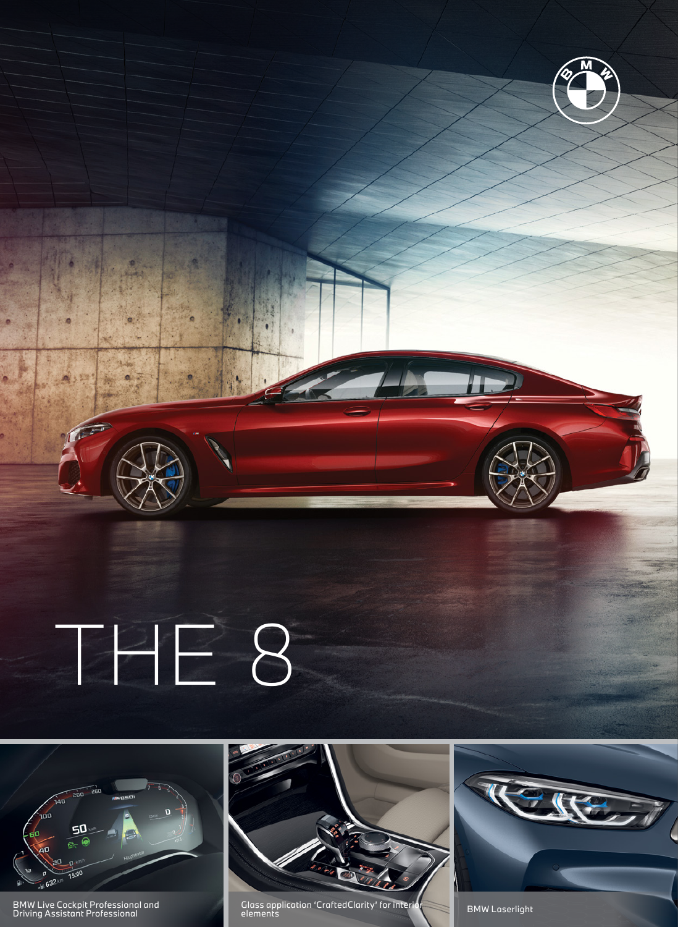THE 8



BMW Live Cockpit Professional and Driving Assistant Professional



Glass application 'CraftedClarity' for interior elements BMW Laserlight